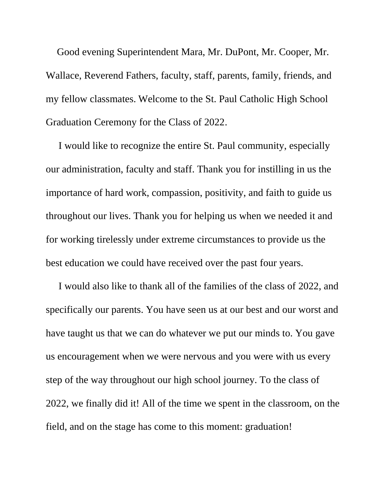Good evening Superintendent Mara, Mr. DuPont, Mr. Cooper, Mr. Wallace, Reverend Fathers, faculty, staff, parents, family, friends, and my fellow classmates. Welcome to the St. Paul Catholic High School Graduation Ceremony for the Class of 2022.

 I would like to recognize the entire St. Paul community, especially our administration, faculty and staff. Thank you for instilling in us the importance of hard work, compassion, positivity, and faith to guide us throughout our lives. Thank you for helping us when we needed it and for working tirelessly under extreme circumstances to provide us the best education we could have received over the past four years.

 I would also like to thank all of the families of the class of 2022, and specifically our parents. You have seen us at our best and our worst and have taught us that we can do whatever we put our minds to. You gave us encouragement when we were nervous and you were with us every step of the way throughout our high school journey. To the class of 2022, we finally did it! All of the time we spent in the classroom, on the field, and on the stage has come to this moment: graduation!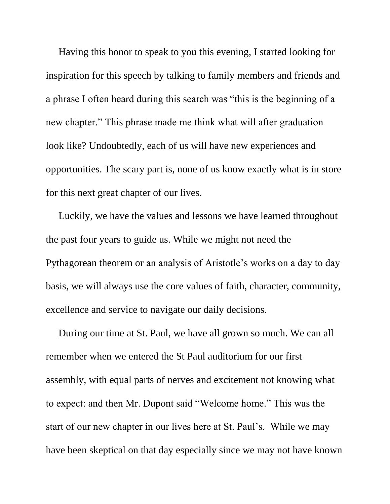Having this honor to speak to you this evening, I started looking for inspiration for this speech by talking to family members and friends and a phrase I often heard during this search was "this is the beginning of a new chapter." This phrase made me think what will after graduation look like? Undoubtedly, each of us will have new experiences and opportunities. The scary part is, none of us know exactly what is in store for this next great chapter of our lives.

 Luckily, we have the values and lessons we have learned throughout the past four years to guide us. While we might not need the Pythagorean theorem or an analysis of Aristotle's works on a day to day basis, we will always use the core values of faith, character, community, excellence and service to navigate our daily decisions.

 During our time at St. Paul, we have all grown so much. We can all remember when we entered the St Paul auditorium for our first assembly, with equal parts of nerves and excitement not knowing what to expect: and then Mr. Dupont said "Welcome home." This was the start of our new chapter in our lives here at St. Paul's. While we may have been skeptical on that day especially since we may not have known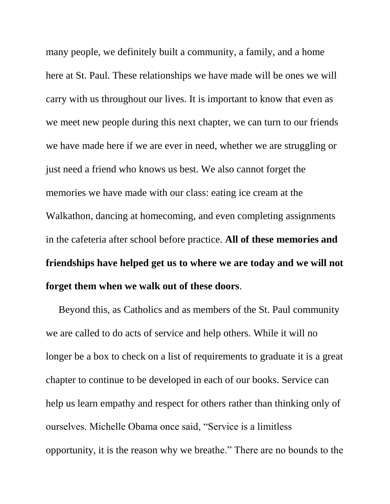many people, we definitely built a community, a family, and a home here at St. Paul. These relationships we have made will be ones we will carry with us throughout our lives. It is important to know that even as we meet new people during this next chapter, we can turn to our friends we have made here if we are ever in need, whether we are struggling or just need a friend who knows us best. We also cannot forget the memories we have made with our class: eating ice cream at the Walkathon, dancing at homecoming, and even completing assignments in the cafeteria after school before practice. **All of these memories and friendships have helped get us to where we are today and we will not forget them when we walk out of these doors**.

 Beyond this, as Catholics and as members of the St. Paul community we are called to do acts of service and help others. While it will no longer be a box to check on a list of requirements to graduate it is a great chapter to continue to be developed in each of our books. Service can help us learn empathy and respect for others rather than thinking only of ourselves. Michelle Obama once said, "Service is a limitless opportunity, it is the reason why we breathe." There are no bounds to the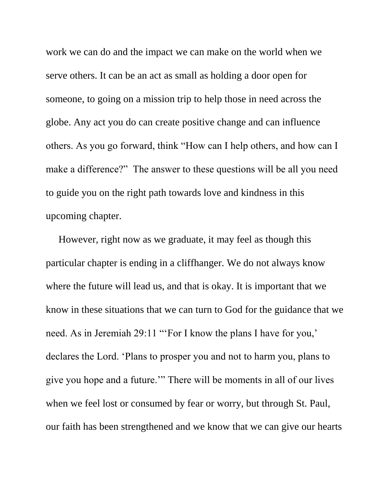work we can do and the impact we can make on the world when we serve others. It can be an act as small as holding a door open for someone, to going on a mission trip to help those in need across the globe. Any act you do can create positive change and can influence others. As you go forward, think "How can I help others, and how can I make a difference?" The answer to these questions will be all you need to guide you on the right path towards love and kindness in this upcoming chapter.

 However, right now as we graduate, it may feel as though this particular chapter is ending in a cliffhanger. We do not always know where the future will lead us, and that is okay. It is important that we know in these situations that we can turn to God for the guidance that we need. As in Jeremiah 29:11 "'For I know the plans I have for you,' declares the Lord. 'Plans to prosper you and not to harm you, plans to give you hope and a future.'" There will be moments in all of our lives when we feel lost or consumed by fear or worry, but through St. Paul, our faith has been strengthened and we know that we can give our hearts